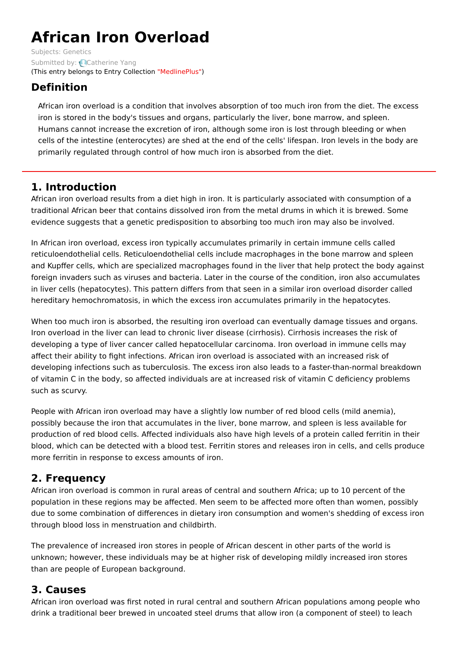# **African Iron Overload**

Subjects: [Genetics](https://encyclopedia.pub/item/subject/56) Submitted by: [Catherine](https://sciprofiles.com/profile/807601) Yang (This entry belongs to Entry Collection ["MedlinePlus"](https://encyclopedia.pub/entry/collection/24))

# **Definition**

African iron overload is a condition that involves absorption of too much iron from the diet. The excess iron is stored in the body's tissues and organs, particularly the liver, bone marrow, and spleen. Humans cannot increase the excretion of iron, although some iron is lost through bleeding or when cells of the intestine (enterocytes) are shed at the end of the cells' lifespan. Iron levels in the body are primarily regulated through control of how much iron is absorbed from the diet.

## **1. Introduction**

African iron overload results from a diet high in iron. It is particularly associated with consumption of a traditional African beer that contains dissolved iron from the metal drums in which it is brewed. Some evidence suggests that a genetic predisposition to absorbing too much iron may also be involved.

In African iron overload, excess iron typically accumulates primarily in certain immune cells called reticuloendothelial cells. Reticuloendothelial cells include macrophages in the bone marrow and spleen and Kupffer cells, which are specialized macrophages found in the liver that help protect the body against foreign invaders such as viruses and bacteria. Later in the course of the condition, iron also accumulates in liver cells (hepatocytes). This pattern differs from that seen in a similar iron overload disorder called hereditary hemochromatosis, in which the excess iron accumulates primarily in the hepatocytes.

When too much iron is absorbed, the resulting iron overload can eventually damage tissues and organs. Iron overload in the liver can lead to chronic liver disease (cirrhosis). Cirrhosis increases the risk of developing a type of liver cancer called hepatocellular carcinoma. Iron overload in immune cells may affect their ability to fight infections. African iron overload is associated with an increased risk of developing infections such as tuberculosis. The excess iron also leads to a faster-than-normal breakdown of vitamin C in the body, so affected individuals are at increased risk of vitamin C deficiency problems such as scurvy.

People with African iron overload may have a slightly low number of red blood cells (mild anemia), possibly because the iron that accumulates in the liver, bone marrow, and spleen is less available for production of red blood cells. Affected individuals also have high levels of a protein called ferritin in their blood, which can be detected with a blood test. Ferritin stores and releases iron in cells, and cells produce more ferritin in response to excess amounts of iron.

## **2. Frequency**

African iron overload is common in rural areas of central and southern Africa; up to 10 percent of the population in these regions may be affected. Men seem to be affected more often than women, possibly due to some combination of differences in dietary iron consumption and women's shedding of excess iron through blood loss in menstruation and childbirth.

The prevalence of increased iron stores in people of African descent in other parts of the world is unknown; however, these individuals may be at higher risk of developing mildly increased iron stores than are people of European background.

## **3. Causes**

African iron overload was first noted in rural central and southern African populations among people who drink a traditional beer brewed in uncoated steel drums that allow iron (a component of steel) to leach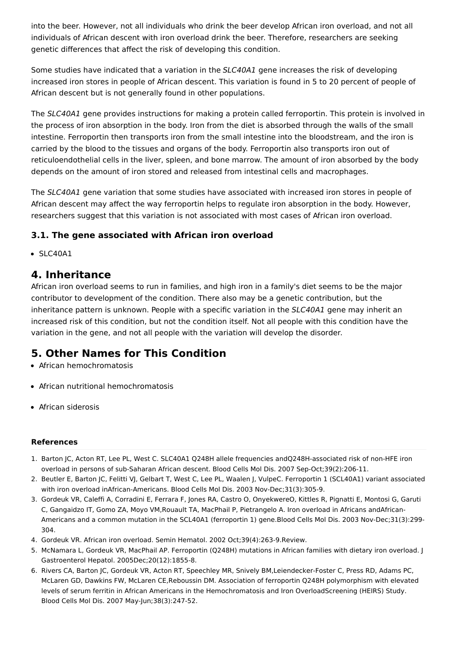into the beer. However, not all individuals who drink the beer develop African iron overload, and not all individuals of African descent with iron overload drink the beer. Therefore, researchers are seeking genetic differences that affect the risk of developing this condition.

Some studies have indicated that a variation in the SLC40A1 gene increases the risk of developing increased iron stores in people of African descent. This variation is found in 5 to 20 percent of people of African descent but is not generally found in other populations.

The SLC40A1 gene provides instructions for making a protein called ferroportin. This protein is involved in the process of iron absorption in the body. Iron from the diet is absorbed through the walls of the small intestine. Ferroportin then transports iron from the small intestine into the bloodstream, and the iron is carried by the blood to the tissues and organs of the body. Ferroportin also transports iron out of reticuloendothelial cells in the liver, spleen, and bone marrow. The amount of iron absorbed by the body depends on the amount of iron stored and released from intestinal cells and macrophages.

The SLC40A1 gene variation that some studies have associated with increased iron stores in people of African descent may affect the way ferroportin helps to regulate iron absorption in the body. However, researchers suggest that this variation is not associated with most cases of African iron overload.

#### **3.1. The gene associated with African iron overload**

• SLC40A1

### **4. Inheritance**

African iron overload seems to run in families, and high iron in a family's diet seems to be the major contributor to development of the condition. There also may be a genetic contribution, but the inheritance pattern is unknown. People with a specific variation in the SLC40A1 gene may inherit an increased risk of this condition, but not the condition itself. Not all people with this condition have the variation in the gene, and not all people with the variation will develop the disorder.

## **5. Other Names for This Condition**

- African hemochromatosis
- African nutritional hemochromatosis
- **•** African siderosis

#### **References**

- 1. Barton JC, Acton RT, Lee PL, West C. SLC40A1 Q248H allele frequencies andQ248H-associated risk of non-HFE iron overload in persons of sub-Saharan African descent. Blood Cells Mol Dis. 2007 Sep-Oct;39(2):206-11.
- 2. Beutler E, Barton JC, Felitti VJ, Gelbart T, West C, Lee PL, Waalen J, VulpeC. Ferroportin 1 (SCL40A1) variant associated with iron overload inAfrican-Americans. Blood Cells Mol Dis. 2003 Nov-Dec;31(3):305-9.
- 3. Gordeuk VR, Caleffi A, Corradini E, Ferrara F, Jones RA, Castro O, OnyekwereO, Kittles R, Pignatti E, Montosi G, Garuti C, Gangaidzo IT, Gomo ZA, Moyo VM,Rouault TA, MacPhail P, Pietrangelo A. Iron overload in Africans andAfrican-Americans and a common mutation in the SCL40A1 (ferroportin 1) gene.Blood Cells Mol Dis. 2003 Nov-Dec;31(3):299- 304.
- 4. Gordeuk VR. African iron overload. Semin Hematol. 2002 Oct;39(4):263-9.Review.
- 5. McNamara L, Gordeuk VR, MacPhail AP. Ferroportin (Q248H) mutations in African families with dietary iron overload. J Gastroenterol Hepatol. 2005Dec;20(12):1855-8.
- 6. Rivers CA, Barton JC, Gordeuk VR, Acton RT, Speechley MR, Snively BM,Leiendecker-Foster C, Press RD, Adams PC, McLaren GD, Dawkins FW, McLaren CE,Reboussin DM. Association of ferroportin Q248H polymorphism with elevated levels of serum ferritin in African Americans in the Hemochromatosis and Iron OverloadScreening (HEIRS) Study. Blood Cells Mol Dis. 2007 May-Jun;38(3):247-52.